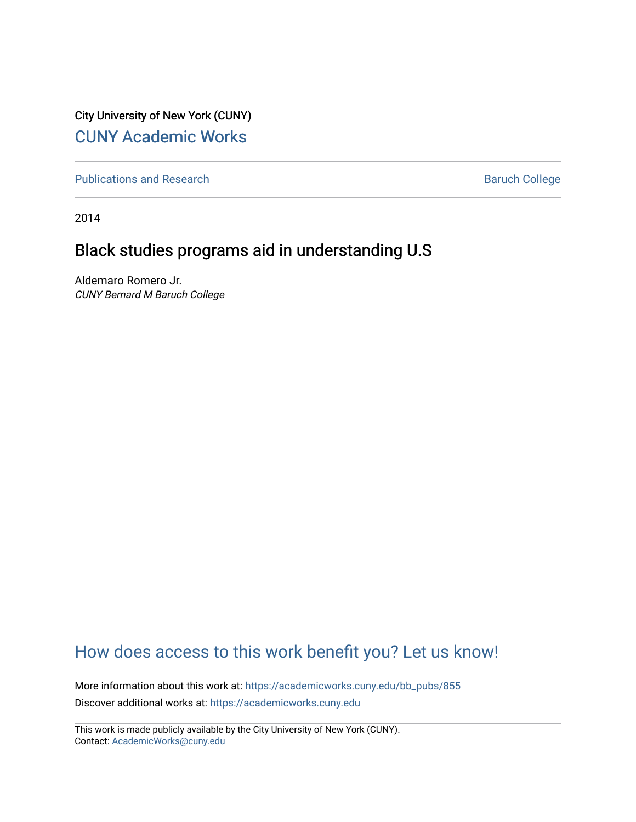City University of New York (CUNY) [CUNY Academic Works](https://academicworks.cuny.edu/) 

[Publications and Research](https://academicworks.cuny.edu/bb_pubs) **Baruch College** Baruch College

2014

## Black studies programs aid in understanding U.S

Aldemaro Romero Jr. CUNY Bernard M Baruch College

### [How does access to this work benefit you? Let us know!](http://ols.cuny.edu/academicworks/?ref=https://academicworks.cuny.edu/bb_pubs/855)

More information about this work at: [https://academicworks.cuny.edu/bb\\_pubs/855](https://academicworks.cuny.edu/bb_pubs/855)  Discover additional works at: [https://academicworks.cuny.edu](https://academicworks.cuny.edu/?)

This work is made publicly available by the City University of New York (CUNY). Contact: [AcademicWorks@cuny.edu](mailto:AcademicWorks@cuny.edu)